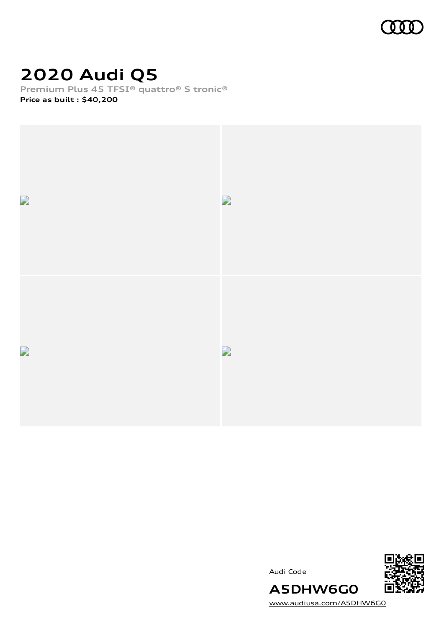

# **2020 Audi Q5**

**Premium Plus 45 TFSI® quattro® S tronic® Price as built [:](#page-8-0) \$40,200**



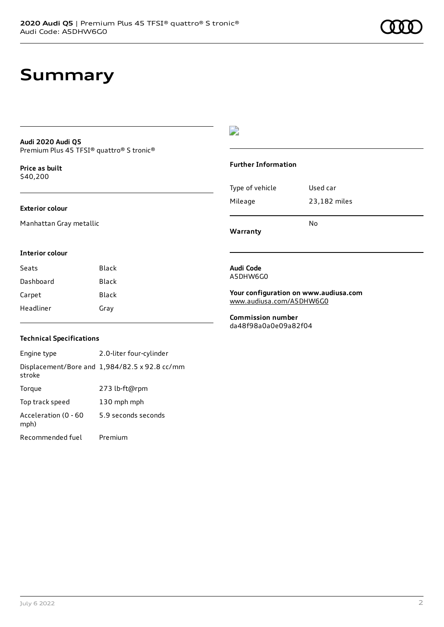#### **Audi 2020 Audi Q5** Premium Plus 45 TFSI® quattro® S tronic®

**Price as buil[t](#page-8-0)** \$40,200

#### **Exterior colour**

Manhattan Gray metallic

### D

#### **Further Information**

| Warranty        | N٥           |
|-----------------|--------------|
| Mileage         | 23,182 miles |
| Type of vehicle | Used car     |

#### **Interior colour**

| Seats     | Black |
|-----------|-------|
| Dashboard | Black |
| Carpet    | Black |
| Headliner | Gray  |

#### **Audi Code** A5DHW6G0

#### **Your configuration on www.audiusa.com** [www.audiusa.com/A5DHW6G0](https://www.audiusa.com/A5DHW6G0)

**Commission number** da48f98a0a0e09a82f04

#### **Technical Specifications**

Engine type 2.0-liter four-cylinder Displacement/Bore and 1,984/82.5 x 92.8 cc/mm stroke Torque 273 lb-ft@rpm Top track speed 130 mph mph Acceleration (0 - 60 mph) 5.9 seconds seconds Recommended fuel Premium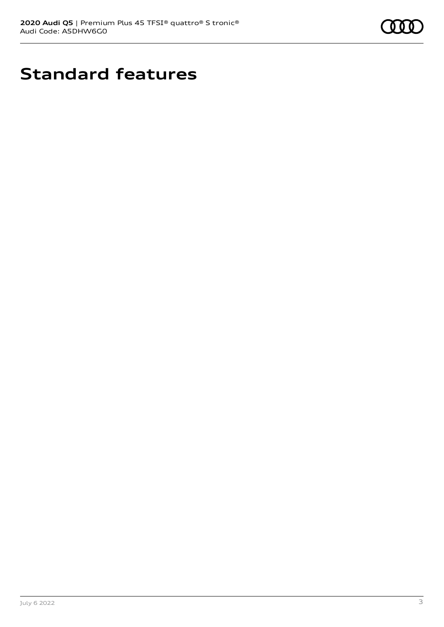

# **Standard features**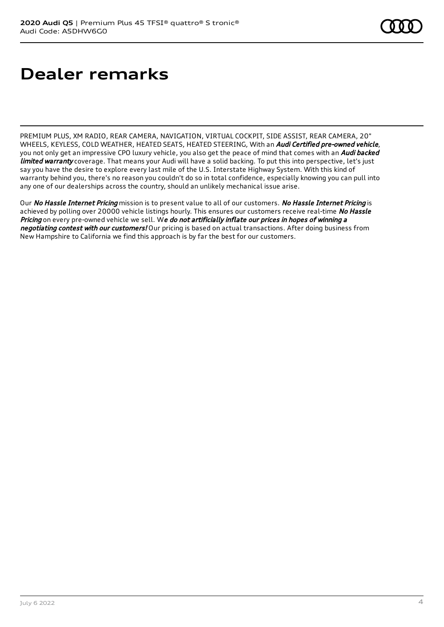# **Dealer remarks**

PREMIUM PLUS, XM RADIO, REAR CAMERA, NAVIGATION, VIRTUAL COCKPIT, SIDE ASSIST, REAR CAMERA, 20" WHEELS, KEYLESS, COLD WEATHER, HEATED SEATS, HEATED STEERING, With an *Audi Certified pre-owned vehicle*, you not only get an impressive CPO luxury vehicle, you also get the peace of mind that comes with an Audi backed limited warranty coverage. That means your Audi will have a solid backing. To put this into perspective, let's just say you have the desire to explore every last mile of the U.S. Interstate Highway System. With this kind of warranty behind you, there's no reason you couldn't do so in total confidence, especially knowing you can pull into any one of our dealerships across the country, should an unlikely mechanical issue arise.

Our No Hassle Internet Pricing mission is to present value to all of our customers. No Hassle Internet Pricing is achieved by polling over 20000 vehicle listings hourly. This ensures our customers receive real-time No Hassle Pricing on every pre-owned vehicle we sell. We do not artificially inflate our prices in hopes of winning a negotiating contest with our customers! Our pricing is based on actual transactions. After doing business from New Hampshire to California we find this approach is by far the best for our customers.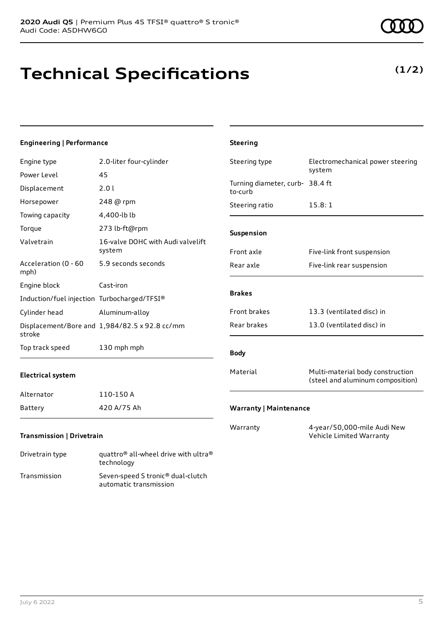### **Technical Specifications**

Transmission Seven-speed S tronic® dual-clutch

automatic transmission

July 6 2022 5

| <b>Engineering   Performance</b>            |                                                                            | <b>Steering</b>                            |                                                                      |
|---------------------------------------------|----------------------------------------------------------------------------|--------------------------------------------|----------------------------------------------------------------------|
| Engine type                                 | 2.0-liter four-cylinder                                                    | Steering type                              | Electromechanical power steering                                     |
| Power Level                                 | 45                                                                         |                                            | system                                                               |
| Displacement                                | 2.01                                                                       | Turning diameter, curb- 38.4 ft<br>to-curb |                                                                      |
| Horsepower                                  | 248 @ rpm                                                                  | Steering ratio                             | 15.8:1                                                               |
| Towing capacity                             | 4,400-lb lb                                                                |                                            |                                                                      |
| Torque                                      | 273 lb-ft@rpm                                                              | Suspension                                 |                                                                      |
| Valvetrain                                  | 16-valve DOHC with Audi valvelift<br>system                                | Front axle                                 | Five-link front suspension                                           |
| Acceleration (0 - 60<br>mph)                | 5.9 seconds seconds                                                        | Rear axle                                  | Five-link rear suspension                                            |
| Engine block                                | Cast-iron                                                                  | <b>Brakes</b>                              |                                                                      |
| Induction/fuel injection Turbocharged/TFSI® |                                                                            |                                            |                                                                      |
| Cylinder head                               | Aluminum-alloy                                                             | Front brakes                               | 13.3 (ventilated disc) in                                            |
| stroke                                      | Displacement/Bore and 1,984/82.5 x 92.8 cc/mm                              | Rear brakes                                | 13.0 (ventilated disc) in                                            |
| Top track speed                             | 130 mph mph                                                                | <b>Body</b>                                |                                                                      |
| <b>Electrical system</b>                    |                                                                            | Material                                   | Multi-material body construction<br>(steel and aluminum composition) |
| Alternator                                  | 110-150 A                                                                  |                                            |                                                                      |
| <b>Battery</b>                              | 420 A/75 Ah                                                                | <b>Warranty   Maintenance</b>              |                                                                      |
| Transmission   Drivetrain                   |                                                                            | Warranty                                   | 4-year/50,000-mile Audi New<br>Vehicle Limited Warranty              |
| Drivetrain type                             | quattro <sup>®</sup> all-wheel drive with ultra <sup>®</sup><br>technology |                                            |                                                                      |

### **(1/2)**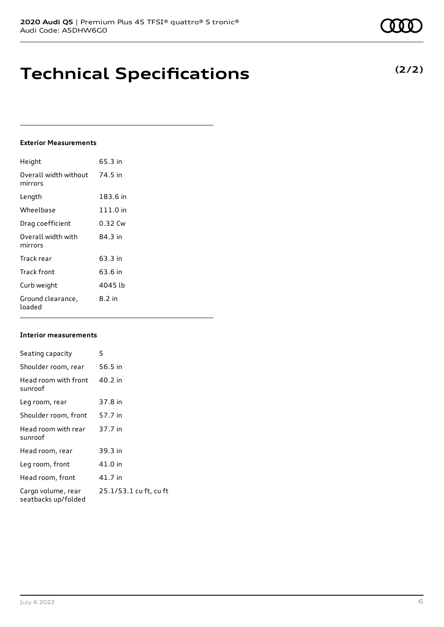### **Technical Specifications**

### **Exterior Measurements**

| Height                           | 65.3 in  |
|----------------------------------|----------|
| Overall width without<br>mirrors | 74.5 in  |
| Length                           | 183.6 in |
| Wheelbase                        | 111.0 in |
| Drag coefficient                 | 0.32 Cw  |
| Overall width with<br>mirrors    | 84.3 in  |
| Track rear                       | 63.3 in  |
| <b>Track front</b>               | 63.6 in  |
| Curb weight                      | 4045 lb  |
| Ground clearance,<br>loaded      | 8.2 in   |

### **Interior measurements**

| Seating capacity                          | 5                      |
|-------------------------------------------|------------------------|
| Shoulder room, rear                       | 56.5 in                |
| Head room with front<br>sunroof           | 40.2 in                |
| Leg room, rear                            | 37.8 in                |
| Shoulder room, front                      | 57.7 in                |
| Head room with rear<br>sunroof            | 37.7 in                |
| Head room, rear                           | 39.3 in                |
| Leg room, front                           | 41.0 in                |
| Head room, front                          | 41.7 in                |
| Cargo volume, rear<br>seatbacks up/folded | 25.1/53.1 cu ft, cu ft |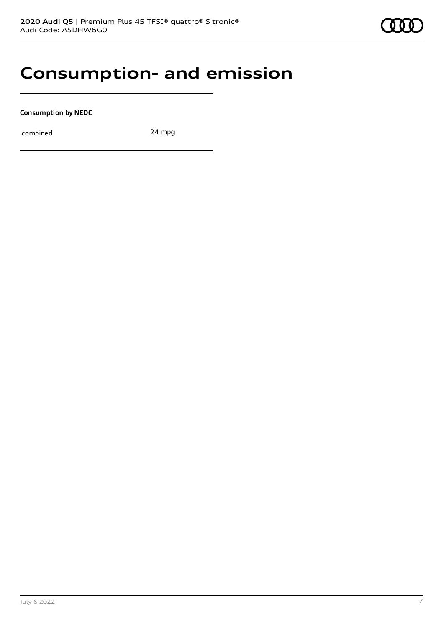### **Consumption- and emission**

**Consumption by NEDC**

combined 24 mpg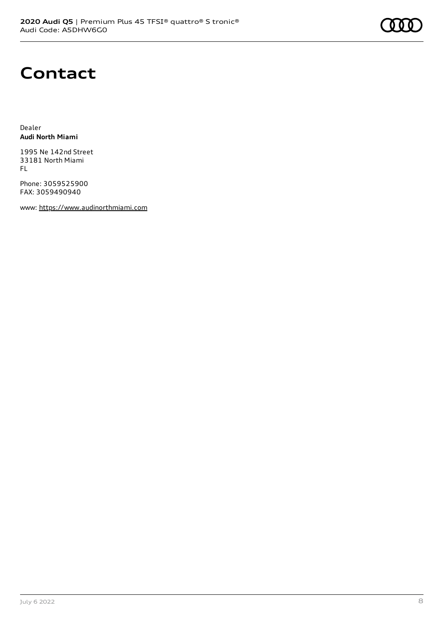### **Contact**

Dealer **Audi North Miami**

1995 Ne 142nd Street 33181 North Miami FL

Phone: 3059525900 FAX: 3059490940

www: [https://www.audinorthmiami.com](https://www.audinorthmiami.com/)